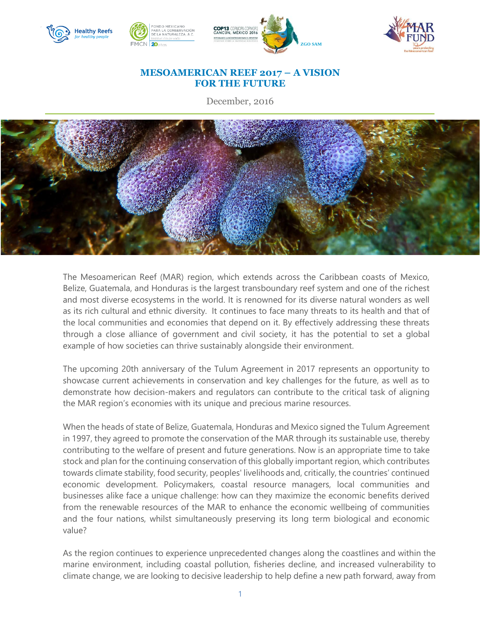

## **MESOAMERICAN REEF 2017 – A VISION FOR THE FUTURE**

December, 2016



The Mesoamerican Reef (MAR) region, which extends across the Caribbean coasts of Mexico, Belize, Guatemala, and Honduras is the largest transboundary reef system and one of the richest and most diverse ecosystems in the world. It is renowned for its diverse natural wonders as well as its rich cultural and ethnic diversity. It continues to face many threats to its health and that of the local communities and economies that depend on it. By effectively addressing these threats through a close alliance of government and civil society, it has the potential to set a global example of how societies can thrive sustainably alongside their environment.

The upcoming 20th anniversary of the Tulum Agreement in 2017 represents an opportunity to showcase current achievements in conservation and key challenges for the future, as well as to demonstrate how decision-makers and regulators can contribute to the critical task of aligning the MAR region's economies with its unique and precious marine resources.

When the heads of state of Belize, Guatemala, Honduras and Mexico signed the Tulum Agreement in 1997, they agreed to promote the conservation of the MAR through its sustainable use, thereby contributing to the welfare of present and future generations. Now is an appropriate time to take stock and plan for the continuing conservation of this globally important region, which contributes towards climate stability, food security, peoples' livelihoods and, critically, the countries' continued economic development. Policymakers, coastal resource managers, local communities and businesses alike face a unique challenge: how can they maximize the economic benefits derived from the renewable resources of the MAR to enhance the economic wellbeing of communities and the four nations, whilst simultaneously preserving its long term biological and economic value?

As the region continues to experience unprecedented changes along the coastlines and within the marine environment, including coastal pollution, fisheries decline, and increased vulnerability to climate change, we are looking to decisive leadership to help define a new path forward, away from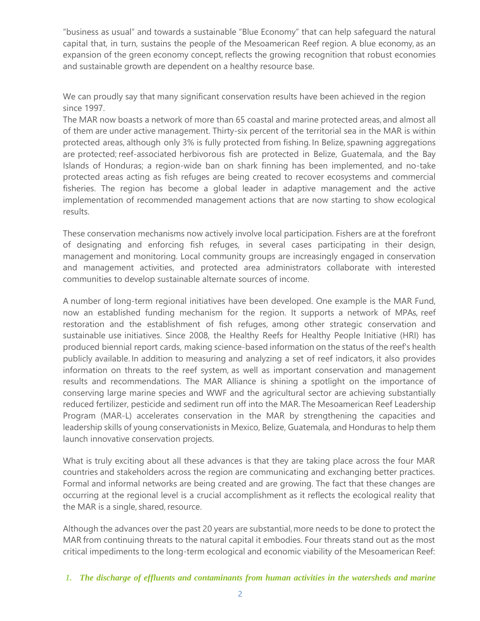"business as usual" and towards a sustainable "Blue Economy" that can help safeguard the natural capital that, in turn, sustains the people of the Mesoamerican Reef region. A blue economy, as an expansion of the green economy concept, reflects the growing recognition that robust economies and sustainable growth are dependent on a healthy resource base.

We can proudly say that many significant conservation results have been achieved in the region since 1997.

The MAR now boasts a network of more than 65 coastal and marine protected areas, and almost all of them are under active management. Thirty-six percent of the territorial sea in the MAR is within protected areas, although only 3% is fully protected from fishing. In Belize, spawning aggregations are protected; reef-associated herbivorous fish are protected in Belize, Guatemala, and the Bay Islands of Honduras; a region-wide ban on shark finning has been implemented, and no-take protected areas acting as fish refuges are being created to recover ecosystems and commercial fisheries. The region has become a global leader in adaptive management and the active implementation of recommended management actions that are now starting to show ecological results.

These conservation mechanisms now actively involve local participation. Fishers are at the forefront of designating and enforcing fish refuges, in several cases participating in their design, management and monitoring. Local community groups are increasingly engaged in conservation and management activities, and protected area administrators collaborate with interested communities to develop sustainable alternate sources of income.

A number of long-term regional initiatives have been developed. One example is the MAR Fund, now an established funding mechanism for the region. It supports a network of MPAs, reef restoration and the establishment of fish refuges, among other strategic conservation and sustainable use initiatives. Since 2008, the Healthy Reefs for Healthy People Initiative (HRI) has produced biennial report cards, making science-based information on the status of the reef's health publicly available. In addition to measuring and analyzing a set of reef indicators, it also provides information on threats to the reef system, as well as important conservation and management results and recommendations. The MAR Alliance is shining a spotlight on the importance of conserving large marine species and WWF and the agricultural sector are achieving substantially reduced fertilizer, pesticide and sediment run off into the MAR. The Mesoamerican Reef Leadership Program (MAR-L) accelerates conservation in the MAR by strengthening the capacities and leadership skills of young conservationists in Mexico, Belize, Guatemala, and Honduras to help them launch innovative conservation projects.

What is truly exciting about all these advances is that they are taking place across the four MAR countries and stakeholders across the region are communicating and exchanging better practices. Formal and informal networks are being created and are growing. The fact that these changes are occurring at the regional level is a crucial accomplishment as it reflects the ecological reality that the MAR is a single, shared, resource.

Although the advances over the past 20 years are substantial, more needs to be done to protect the MAR from continuing threats to the natural capital it embodies. Four threats stand out as the most critical impediments to the long-term ecological and economic viability of the Mesoamerican Reef:

*<sup>1.</sup> The discharge of effluents and contaminants from human activities in the watersheds and marine*